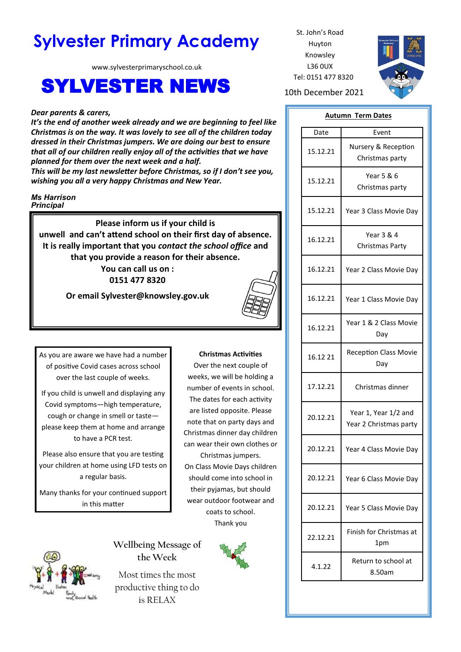# **Sylvester Primary Academy** St. John's Road

www.sylvesterprimaryschool.co.uk

## SYLVESTER NEWS 10th December 2021

#### *Dear parents & carers,*

*It's the end of another week already and we are beginning to feel like Christmas is on the way. It was lovely to see all of the children today dressed in their Christmas jumpers. We are doing our best to ensure that all of our children really enjoy all of the activities that we have planned for them over the next week and a half.*

*This will be my last newsletter before Christmas, so if I don't see you, wishing you all a very happy Christmas and New Year.*

#### *Ms Harrison Principal*

**Please inform us if your child is unwell and can't attend school on their first day of absence. It is really important that you** *contact the school office* **and that you provide a reason for their absence. You can call us on :** 

**0151 477 8320**

**Or email Sylvester@knowsley.gov.uk**



As you are aware we have had a number of positive Covid cases across school over the last couple of weeks.

If you child is unwell and displaying any Covid symptoms—high temperature, cough or change in smell or taste please keep them at home and arrange to have a PCR test.

Please also ensure that you are testing your children at home using LFD tests on a regular basis.

Many thanks for your continued support in this matter

#### **Christmas Activities**

Over the next couple of weeks, we will be holding a number of events in school. The dates for each activity are listed opposite. Please note that on party days and Christmas dinner day children can wear their own clothes or Christmas jumpers. On Class Movie Days children should come into school in their pyjamas, but should wear outdoor footwear and coats to school. Thank you





**Wellbeing Message of the Week**

Most times the most productive thing to do is RELAX

Huyton Knowsley L36 0UX Tel: 0151 477 8320



### **Autumn Term Dates**

| Date     | Event                                          |
|----------|------------------------------------------------|
| 15.12.21 | Nursery & Reception<br>Christmas party         |
| 15.12.21 | Year 5 & 6<br>Christmas party                  |
| 15.12.21 | Year 3 Class Movie Day                         |
| 16.12.21 | <b>Year 3 &amp; 4</b><br>Christmas Party       |
| 16.12.21 | Year 2 Class Movie Day                         |
| 16.12.21 | Year 1 Class Movie Day                         |
| 16.12.21 | Year 1 & 2 Class Movie<br>Dav                  |
| 16.12 21 | <b>Reception Class Movie</b><br>Day            |
| 17.12.21 | Christmas dinner                               |
| 20.12.21 | Year 1, Year 1/2 and<br>Year 2 Christmas party |
| 20.12.21 | Year 4 Class Movie Day                         |
| 20.12.21 | Year 6 Class Movie Day                         |
| 20.12.21 | Year 5 Class Movie Day                         |
| 22.12.21 | Finish for Christmas at<br>1pm                 |
| 4.1.22   | Return to school at<br>8.50am                  |